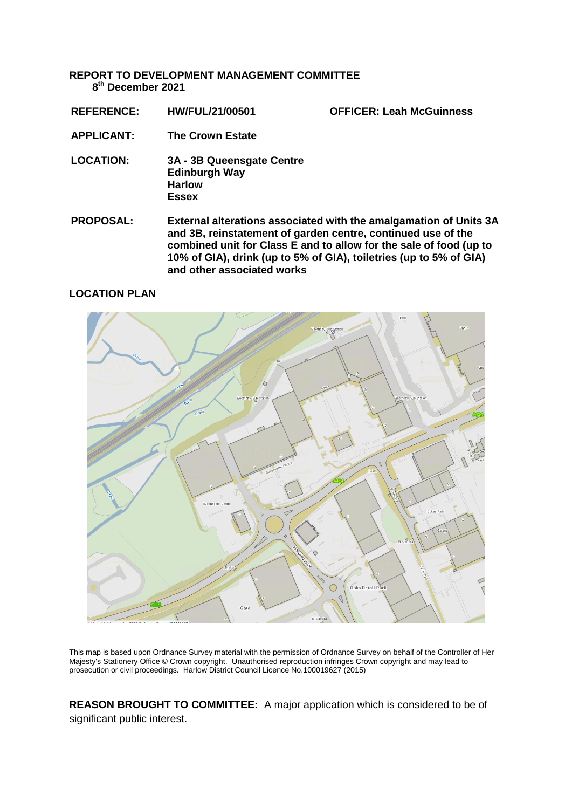**REPORT TO DEVELOPMENT MANAGEMENT COMMITTEE 8 th December 2021**

**REFERENCE: HW/FUL/21/00501 OFFICER: Leah McGuinness**

- **APPLICANT: The Crown Estate**
- **LOCATION: 3A - 3B Queensgate Centre Edinburgh Way Harlow Essex**
- **PROPOSAL: External alterations associated with the amalgamation of Units 3A and 3B, reinstatement of garden centre, continued use of the combined unit for Class E and to allow for the sale of food (up to 10% of GIA), drink (up to 5% of GIA), toiletries (up to 5% of GIA) and other associated works**

# **LOCATION PLAN**



This map is based upon Ordnance Survey material with the permission of Ordnance Survey on behalf of the Controller of Her Majesty's Stationery Office © Crown copyright. Unauthorised reproduction infringes Crown copyright and may lead to prosecution or civil proceedings. Harlow District Council Licence No.100019627 (2015)

**REASON BROUGHT TO COMMITTEE:** A major application which is considered to be of significant public interest.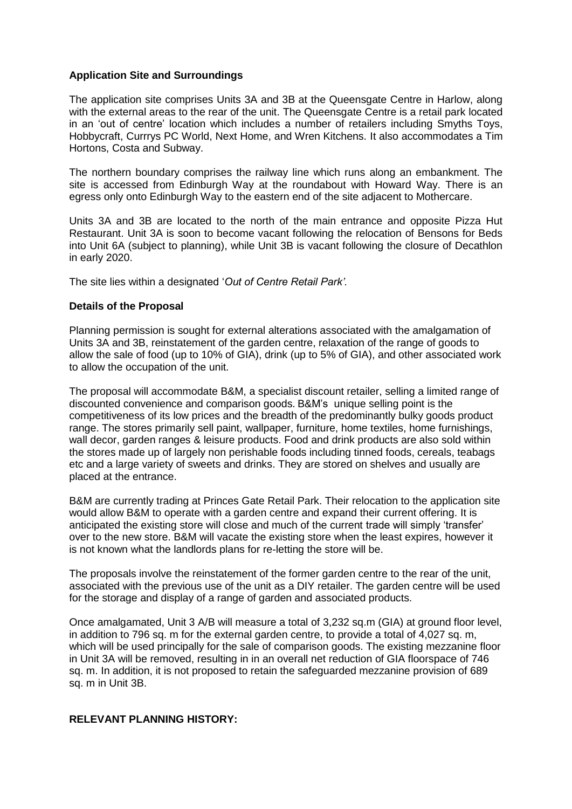# **Application Site and Surroundings**

The application site comprises Units 3A and 3B at the Queensgate Centre in Harlow, along with the external areas to the rear of the unit. The Queensgate Centre is a retail park located in an 'out of centre' location which includes a number of retailers including Smyths Toys, Hobbycraft, Currrys PC World, Next Home, and Wren Kitchens. It also accommodates a Tim Hortons, Costa and Subway.

The northern boundary comprises the railway line which runs along an embankment. The site is accessed from Edinburgh Way at the roundabout with Howard Way. There is an egress only onto Edinburgh Way to the eastern end of the site adjacent to Mothercare.

Units 3A and 3B are located to the north of the main entrance and opposite Pizza Hut Restaurant. Unit 3A is soon to become vacant following the relocation of Bensons for Beds into Unit 6A (subject to planning), while Unit 3B is vacant following the closure of Decathlon in early 2020.

The site lies within a designated '*Out of Centre Retail Park'.*

### **Details of the Proposal**

Planning permission is sought for external alterations associated with the amalgamation of Units 3A and 3B, reinstatement of the garden centre, relaxation of the range of goods to allow the sale of food (up to 10% of GIA), drink (up to 5% of GIA), and other associated work to allow the occupation of the unit.

The proposal will accommodate B&M, a specialist discount retailer, selling a limited range of discounted convenience and comparison goods. B&M's unique selling point is the competitiveness of its low prices and the breadth of the predominantly bulky goods product range. The stores primarily sell paint, wallpaper, furniture, home textiles, home furnishings, wall decor, garden ranges & leisure products. Food and drink products are also sold within the stores made up of largely non perishable foods including tinned foods, cereals, teabags etc and a large variety of sweets and drinks. They are stored on shelves and usually are placed at the entrance.

B&M are currently trading at Princes Gate Retail Park. Their relocation to the application site would allow B&M to operate with a garden centre and expand their current offering. It is anticipated the existing store will close and much of the current trade will simply 'transfer' over to the new store. B&M will vacate the existing store when the least expires, however it is not known what the landlords plans for re-letting the store will be.

The proposals involve the reinstatement of the former garden centre to the rear of the unit, associated with the previous use of the unit as a DIY retailer. The garden centre will be used for the storage and display of a range of garden and associated products.

Once amalgamated, Unit 3 A/B will measure a total of 3,232 sq.m (GIA) at ground floor level, in addition to 796 sq. m for the external garden centre, to provide a total of 4,027 sq. m, which will be used principally for the sale of comparison goods. The existing mezzanine floor in Unit 3A will be removed, resulting in in an overall net reduction of GIA floorspace of 746 sq. m. In addition, it is not proposed to retain the safeguarded mezzanine provision of 689 sq. m in Unit 3B.

### **RELEVANT PLANNING HISTORY:**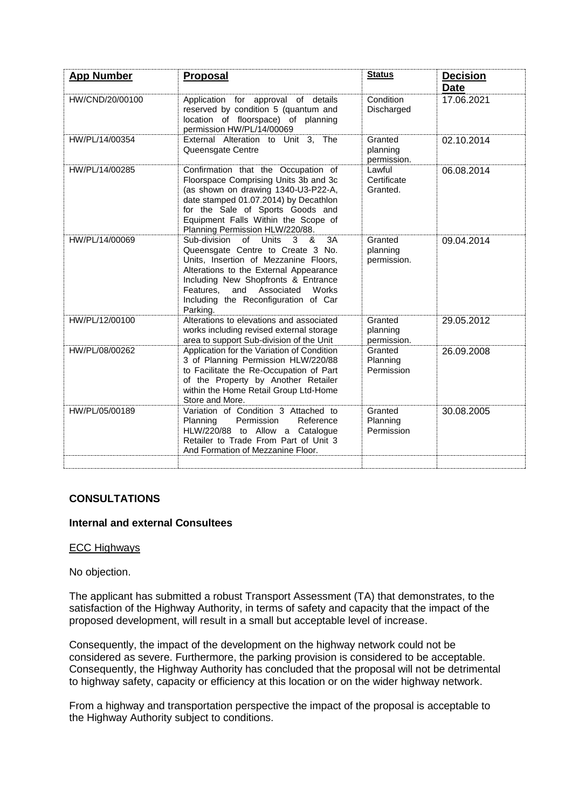| <b>App Number</b> | <b>Proposal</b>                                                                                                                                                                                                                                                                                                            | <b>Status</b>                      | <b>Decision</b><br><b>Date</b> |
|-------------------|----------------------------------------------------------------------------------------------------------------------------------------------------------------------------------------------------------------------------------------------------------------------------------------------------------------------------|------------------------------------|--------------------------------|
| HW/CND/20/00100   | Application for approval of details<br>reserved by condition 5 (quantum and<br>location of floorspace) of planning<br>permission HW/PL/14/00069                                                                                                                                                                            | Condition<br>Discharged            | 17.06.2021                     |
| HW/PL/14/00354    | External Alteration to Unit 3, The<br>Queensgate Centre                                                                                                                                                                                                                                                                    | Granted<br>planning<br>permission. | 02.10.2014                     |
| HW/PL/14/00285    | Confirmation that the Occupation of<br>Floorspace Comprising Units 3b and 3c<br>(as shown on drawing 1340-U3-P22-A,<br>date stamped 01.07.2014) by Decathlon<br>for the Sale of Sports Goods and<br>Equipment Falls Within the Scope of<br>Planning Permission HLW/220/88.                                                 | Lawful<br>Certificate<br>Granted.  | 06.08.2014                     |
| HW/PL/14/00069    | $\alpha$ f<br>Sub-division<br>Units<br>$\mathcal{S}$<br>3A<br>&<br>Queensgate Centre to Create 3 No.<br>Units, Insertion of Mezzanine Floors,<br>Alterations to the External Appearance<br>Including New Shopfronts & Entrance<br>and Associated<br>Features.<br>Works<br>Including the Reconfiguration of Car<br>Parking. | Granted<br>planning<br>permission. | 09.04.2014                     |
| HW/PL/12/00100    | Alterations to elevations and associated<br>works including revised external storage<br>area to support Sub-division of the Unit                                                                                                                                                                                           | Granted<br>planning<br>permission. | 29.05.2012                     |
| HW/PL/08/00262    | Application for the Variation of Condition<br>3 of Planning Permission HLW/220/88<br>to Facilitate the Re-Occupation of Part<br>of the Property by Another Retailer<br>within the Home Retail Group Ltd-Home<br>Store and More.                                                                                            | Granted<br>Planning<br>Permission  | 26.09.2008                     |
| HW/PL/05/00189    | Variation of Condition 3 Attached to<br>Permission<br>Planning<br>Reference<br>HLW/220/88 to Allow a Catalogue<br>Retailer to Trade From Part of Unit 3<br>And Formation of Mezzanine Floor.                                                                                                                               | Granted<br>Planning<br>Permission  | 30.08.2005                     |
|                   |                                                                                                                                                                                                                                                                                                                            |                                    |                                |

# **CONSULTATIONS**

# **Internal and external Consultees**

#### ECC Highways

#### No objection.

The applicant has submitted a robust Transport Assessment (TA) that demonstrates, to the satisfaction of the Highway Authority, in terms of safety and capacity that the impact of the proposed development, will result in a small but acceptable level of increase.

Consequently, the impact of the development on the highway network could not be considered as severe. Furthermore, the parking provision is considered to be acceptable. Consequently, the Highway Authority has concluded that the proposal will not be detrimental to highway safety, capacity or efficiency at this location or on the wider highway network.

From a highway and transportation perspective the impact of the proposal is acceptable to the Highway Authority subject to conditions.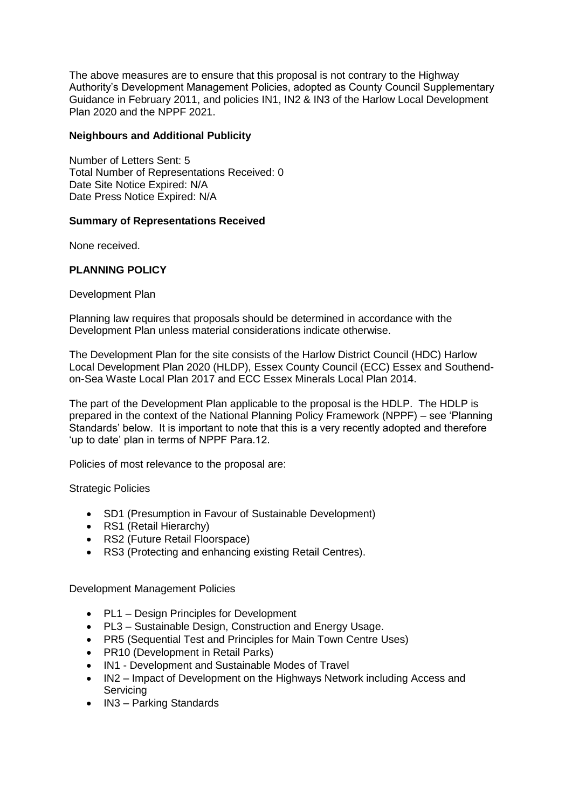The above measures are to ensure that this proposal is not contrary to the Highway Authority's Development Management Policies, adopted as County Council Supplementary Guidance in February 2011, and policies IN1, IN2 & IN3 of the Harlow Local Development Plan 2020 and the NPPF 2021.

### **Neighbours and Additional Publicity**

Number of Letters Sent: 5 Total Number of Representations Received: 0 Date Site Notice Expired: N/A Date Press Notice Expired: N/A

### **Summary of Representations Received**

None received.

# **PLANNING POLICY**

Development Plan

Planning law requires that proposals should be determined in accordance with the Development Plan unless material considerations indicate otherwise.

The Development Plan for the site consists of the Harlow District Council (HDC) Harlow Local Development Plan 2020 (HLDP), Essex County Council (ECC) Essex and Southendon-Sea Waste Local Plan 2017 and ECC Essex Minerals Local Plan 2014.

The part of the Development Plan applicable to the proposal is the HDLP. The HDLP is prepared in the context of the National Planning Policy Framework (NPPF) – see 'Planning Standards' below. It is important to note that this is a very recently adopted and therefore 'up to date' plan in terms of NPPF Para.12.

Policies of most relevance to the proposal are:

#### Strategic Policies

- SD1 (Presumption in Favour of Sustainable Development)
- RS1 (Retail Hierarchy)
- RS2 (Future Retail Floorspace)
- RS3 (Protecting and enhancing existing Retail Centres).

Development Management Policies

- PL1 Design Principles for Development
- PL3 Sustainable Design, Construction and Energy Usage.
- PR5 (Sequential Test and Principles for Main Town Centre Uses)
- PR10 (Development in Retail Parks)
- IN1 Development and Sustainable Modes of Travel
- IN2 Impact of Development on the Highways Network including Access and **Servicing**
- IN3 Parking Standards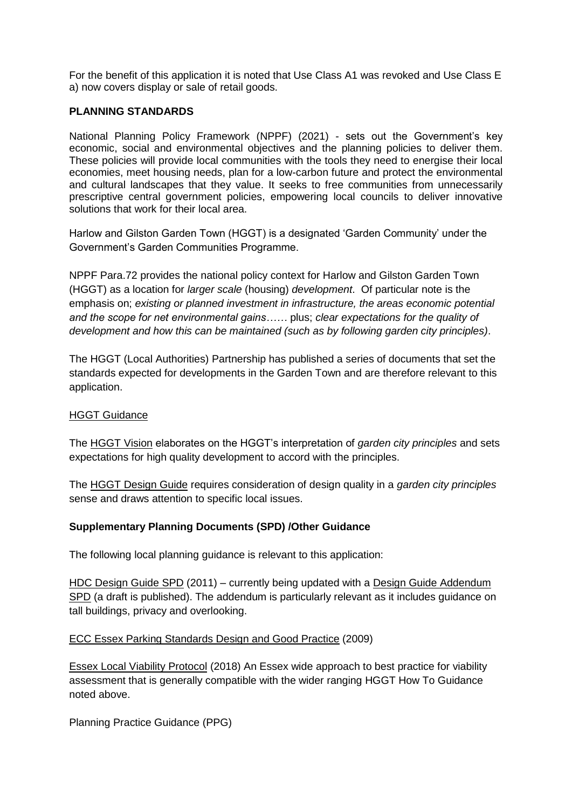For the benefit of this application it is noted that Use Class A1 was revoked and Use Class E a) now covers display or sale of retail goods.

# **PLANNING STANDARDS**

National Planning Policy Framework (NPPF) (2021) - sets out the Government's key economic, social and environmental objectives and the planning policies to deliver them. These policies will provide local communities with the tools they need to energise their local economies, meet housing needs, plan for a low-carbon future and protect the environmental and cultural landscapes that they value. It seeks to free communities from unnecessarily prescriptive central government policies, empowering local councils to deliver innovative solutions that work for their local area.

Harlow and Gilston Garden Town (HGGT) is a designated 'Garden Community' under the Government's Garden Communities Programme.

NPPF Para.72 provides the national policy context for Harlow and Gilston Garden Town (HGGT) as a location for *larger scale* (housing) *development*. Of particular note is the emphasis on; *existing or planned investment in infrastructure, the areas economic potential and the scope for net environmental gains……* plus; *clear expectations for the quality of development and how this can be maintained (such as by following garden city principles)*.

The HGGT (Local Authorities) Partnership has published a series of documents that set the standards expected for developments in the Garden Town and are therefore relevant to this application.

# HGGT Guidance

The HGGT Vision elaborates on the HGGT's interpretation of *garden city principles* and sets expectations for high quality development to accord with the principles.

The HGGT Design Guide requires consideration of design quality in a *garden city principles* sense and draws attention to specific local issues.

# **Supplementary Planning Documents (SPD) /Other Guidance**

The following local planning guidance is relevant to this application:

HDC Design Guide SPD (2011) – currently being updated with a Design Guide Addendum SPD (a draft is published). The addendum is particularly relevant as it includes guidance on tall buildings, privacy and overlooking.

# ECC Essex Parking Standards Design and Good Practice (2009)

Essex Local Viability Protocol (2018) An Essex wide approach to best practice for viability assessment that is generally compatible with the wider ranging HGGT How To Guidance noted above.

Planning Practice Guidance (PPG)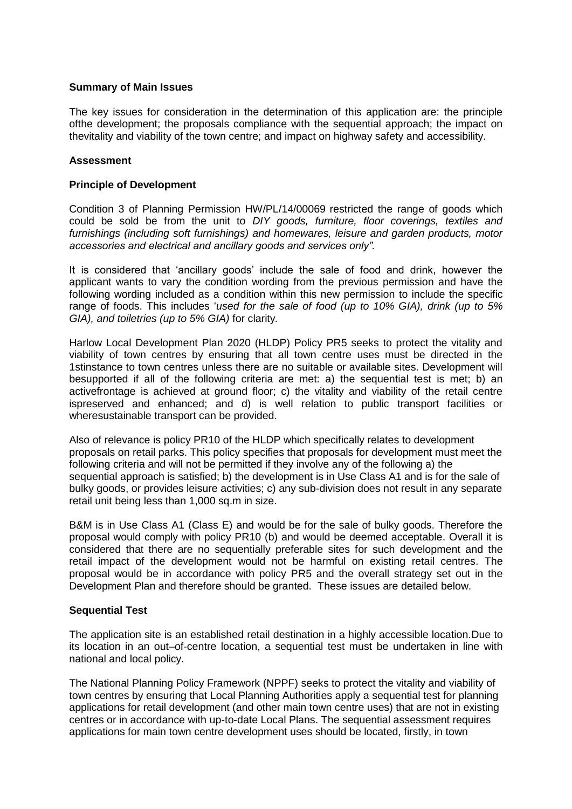#### **Summary of Main Issues**

The key issues for consideration in the determination of this application are: the principle ofthe development; the proposals compliance with the sequential approach; the impact on thevitality and viability of the town centre; and impact on highway safety and accessibility.

# **Assessment**

### **Principle of Development**

Condition 3 of Planning Permission HW/PL/14/00069 restricted the range of goods which could be sold be from the unit to *DIY goods, furniture, floor coverings, textiles and furnishings (including soft furnishings) and homewares, leisure and garden products, motor accessories and electrical and ancillary goods and services only".*

It is considered that 'ancillary goods' include the sale of food and drink, however the applicant wants to vary the condition wording from the previous permission and have the following wording included as a condition within this new permission to include the specific range of foods. This includes '*used for the sale of food (up to 10% GIA), drink (up to 5% GIA), and toiletries (up to 5% GIA)* for clarity*.* 

Harlow Local Development Plan 2020 (HLDP) Policy PR5 seeks to protect the vitality and viability of town centres by ensuring that all town centre uses must be directed in the 1stinstance to town centres unless there are no suitable or available sites. Development will besupported if all of the following criteria are met: a) the sequential test is met; b) an activefrontage is achieved at ground floor; c) the vitality and viability of the retail centre ispreserved and enhanced; and d) is well relation to public transport facilities or wheresustainable transport can be provided.

Also of relevance is policy PR10 of the HLDP which specifically relates to development proposals on retail parks. This policy specifies that proposals for development must meet the following criteria and will not be permitted if they involve any of the following a) the sequential approach is satisfied; b) the development is in Use Class A1 and is for the sale of bulky goods, or provides leisure activities; c) any sub-division does not result in any separate retail unit being less than 1,000 sq.m in size.

B&M is in Use Class A1 (Class E) and would be for the sale of bulky goods. Therefore the proposal would comply with policy PR10 (b) and would be deemed acceptable. Overall it is considered that there are no sequentially preferable sites for such development and the retail impact of the development would not be harmful on existing retail centres. The proposal would be in accordance with policy PR5 and the overall strategy set out in the Development Plan and therefore should be granted. These issues are detailed below.

# **Sequential Test**

The application site is an established retail destination in a highly accessible location.Due to its location in an out–of-centre location, a sequential test must be undertaken in line with national and local policy.

The National Planning Policy Framework (NPPF) seeks to protect the vitality and viability of town centres by ensuring that Local Planning Authorities apply a sequential test for planning applications for retail development (and other main town centre uses) that are not in existing centres or in accordance with up-to-date Local Plans. The sequential assessment requires applications for main town centre development uses should be located, firstly, in town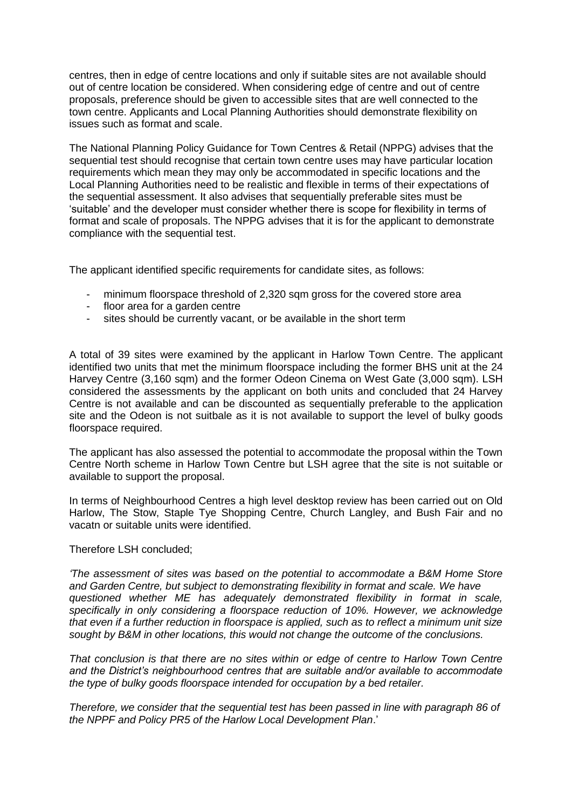centres, then in edge of centre locations and only if suitable sites are not available should out of centre location be considered. When considering edge of centre and out of centre proposals, preference should be given to accessible sites that are well connected to the town centre. Applicants and Local Planning Authorities should demonstrate flexibility on issues such as format and scale.

The National Planning Policy Guidance for Town Centres & Retail (NPPG) advises that the sequential test should recognise that certain town centre uses may have particular location requirements which mean they may only be accommodated in specific locations and the Local Planning Authorities need to be realistic and flexible in terms of their expectations of the sequential assessment. It also advises that sequentially preferable sites must be 'suitable' and the developer must consider whether there is scope for flexibility in terms of format and scale of proposals. The NPPG advises that it is for the applicant to demonstrate compliance with the sequential test.

The applicant identified specific requirements for candidate sites, as follows:

- minimum floorspace threshold of 2,320 sqm gross for the covered store area
- floor area for a garden centre
- sites should be currently vacant, or be available in the short term

A total of 39 sites were examined by the applicant in Harlow Town Centre. The applicant identified two units that met the minimum floorspace including the former BHS unit at the 24 Harvey Centre (3,160 sqm) and the former Odeon Cinema on West Gate (3,000 sqm). LSH considered the assessments by the applicant on both units and concluded that 24 Harvey Centre is not available and can be discounted as sequentially preferable to the application site and the Odeon is not suitbale as it is not available to support the level of bulky goods floorspace required.

The applicant has also assessed the potential to accommodate the proposal within the Town Centre North scheme in Harlow Town Centre but LSH agree that the site is not suitable or available to support the proposal.

In terms of Neighbourhood Centres a high level desktop review has been carried out on Old Harlow, The Stow, Staple Tye Shopping Centre, Church Langley, and Bush Fair and no vacatn or suitable units were identified.

#### Therefore LSH concluded;

*'The assessment of sites was based on the potential to accommodate a B&M Home Store and Garden Centre, but subject to demonstrating flexibility in format and scale. We have questioned whether ME has adequately demonstrated flexibility in format in scale, specifically in only considering a floorspace reduction of 10%. However, we acknowledge that even if a further reduction in floorspace is applied, such as to reflect a minimum unit size sought by B&M in other locations, this would not change the outcome of the conclusions.* 

*That conclusion is that there are no sites within or edge of centre to Harlow Town Centre and the District's neighbourhood centres that are suitable and/or available to accommodate the type of bulky goods floorspace intended for occupation by a bed retailer.*

*Therefore, we consider that the sequential test has been passed in line with paragraph 86 of the NPPF and Policy PR5 of the Harlow Local Development Plan*.'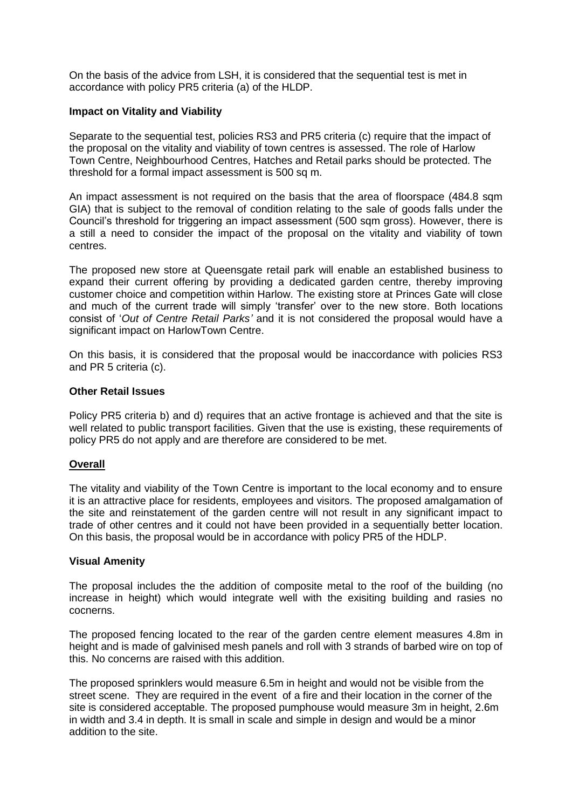On the basis of the advice from LSH, it is considered that the sequential test is met in accordance with policy PR5 criteria (a) of the HLDP.

#### **Impact on Vitality and Viability**

Separate to the sequential test, policies RS3 and PR5 criteria (c) require that the impact of the proposal on the vitality and viability of town centres is assessed. The role of Harlow Town Centre, Neighbourhood Centres, Hatches and Retail parks should be protected. The threshold for a formal impact assessment is 500 sq m.

An impact assessment is not required on the basis that the area of floorspace (484.8 sqm GIA) that is subject to the removal of condition relating to the sale of goods falls under the Council's threshold for triggering an impact assessment (500 sqm gross). However, there is a still a need to consider the impact of the proposal on the vitality and viability of town centres.

The proposed new store at Queensgate retail park will enable an established business to expand their current offering by providing a dedicated garden centre, thereby improving customer choice and competition within Harlow. The existing store at Princes Gate will close and much of the current trade will simply 'transfer' over to the new store. Both locations consist of '*Out of Centre Retail Parks'* and it is not considered the proposal would have a significant impact on HarlowTown Centre.

On this basis, it is considered that the proposal would be inaccordance with policies RS3 and PR 5 criteria (c).

### **Other Retail Issues**

Policy PR5 criteria b) and d) requires that an active frontage is achieved and that the site is well related to public transport facilities. Given that the use is existing, these requirements of policy PR5 do not apply and are therefore are considered to be met.

# **Overall**

The vitality and viability of the Town Centre is important to the local economy and to ensure it is an attractive place for residents, employees and visitors. The proposed amalgamation of the site and reinstatement of the garden centre will not result in any significant impact to trade of other centres and it could not have been provided in a sequentially better location. On this basis, the proposal would be in accordance with policy PR5 of the HDLP.

#### **Visual Amenity**

The proposal includes the the addition of composite metal to the roof of the building (no increase in height) which would integrate well with the exisiting building and rasies no cocnerns.

The proposed fencing located to the rear of the garden centre element measures 4.8m in height and is made of galvinised mesh panels and roll with 3 strands of barbed wire on top of this. No concerns are raised with this addition.

The proposed sprinklers would measure 6.5m in height and would not be visible from the street scene. They are required in the event of a fire and their location in the corner of the site is considered acceptable. The proposed pumphouse would measure 3m in height, 2.6m in width and 3.4 in depth. It is small in scale and simple in design and would be a minor addition to the site.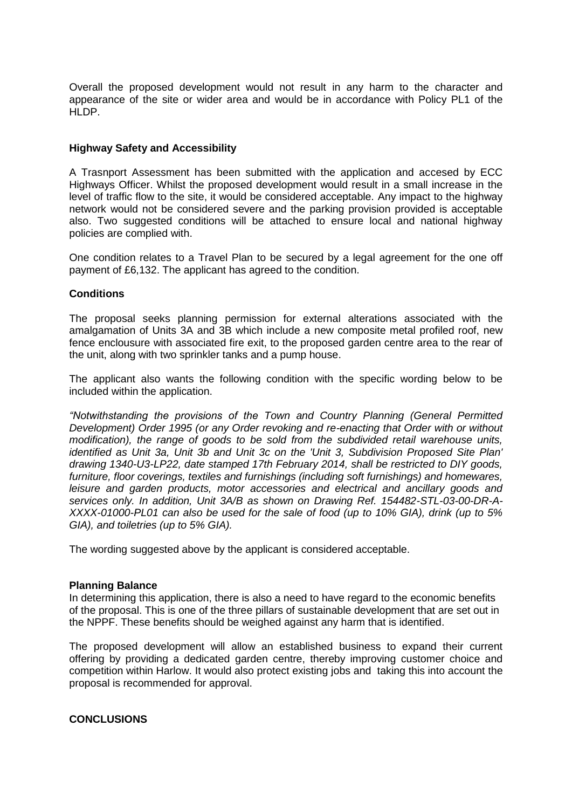Overall the proposed development would not result in any harm to the character and appearance of the site or wider area and would be in accordance with Policy PL1 of the HLDP.

### **Highway Safety and Accessibility**

A Trasnport Assessment has been submitted with the application and accesed by ECC Highways Officer. Whilst the proposed development would result in a small increase in the level of traffic flow to the site, it would be considered acceptable. Any impact to the highway network would not be considered severe and the parking provision provided is acceptable also. Two suggested conditions will be attached to ensure local and national highway policies are complied with.

One condition relates to a Travel Plan to be secured by a legal agreement for the one off payment of £6,132. The applicant has agreed to the condition.

### **Conditions**

The proposal seeks planning permission for external alterations associated with the amalgamation of Units 3A and 3B which include a new composite metal profiled roof, new fence enclousure with associated fire exit, to the proposed garden centre area to the rear of the unit, along with two sprinkler tanks and a pump house.

The applicant also wants the following condition with the specific wording below to be included within the application.

*"Notwithstanding the provisions of the Town and Country Planning (General Permitted Development) Order 1995 (or any Order revoking and re-enacting that Order with or without modification), the range of goods to be sold from the subdivided retail warehouse units, identified as Unit 3a, Unit 3b and Unit 3c on the 'Unit 3, Subdivision Proposed Site Plan' drawing 1340-U3-LP22, date stamped 17th February 2014, shall be restricted to DIY goods, furniture, floor coverings, textiles and furnishings (including soft furnishings) and homewares, leisure and garden products, motor accessories and electrical and ancillary goods and services only. In addition, Unit 3A/B as shown on Drawing Ref. 154482-STL-03-00-DR-A-XXXX-01000-PL01 can also be used for the sale of food (up to 10% GIA), drink (up to 5% GIA), and toiletries (up to 5% GIA).*

The wording suggested above by the applicant is considered acceptable.

#### **Planning Balance**

In determining this application, there is also a need to have regard to the economic benefits of the proposal. This is one of the three pillars of sustainable development that are set out in the NPPF. These benefits should be weighed against any harm that is identified.

The proposed development will allow an established business to expand their current offering by providing a dedicated garden centre, thereby improving customer choice and competition within Harlow. It would also protect existing jobs and taking this into account the proposal is recommended for approval.

### **CONCLUSIONS**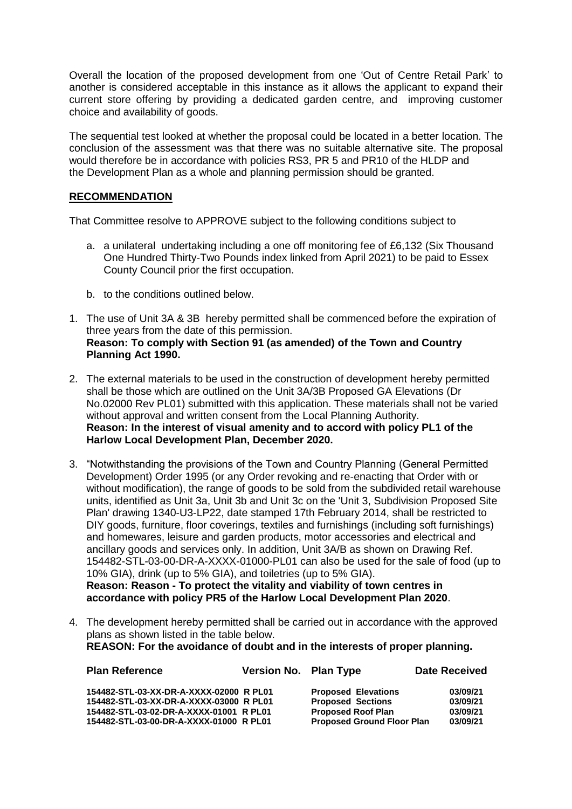Overall the location of the proposed development from one 'Out of Centre Retail Park' to another is considered acceptable in this instance as it allows the applicant to expand their current store offering by providing a dedicated garden centre, and improving customer choice and availability of goods.

The sequential test looked at whether the proposal could be located in a better location. The conclusion of the assessment was that there was no suitable alternative site. The proposal would therefore be in accordance with policies RS3, PR 5 and PR10 of the HLDP and the Development Plan as a whole and planning permission should be granted.

# **RECOMMENDATION**

That Committee resolve to APPROVE subject to the following conditions subject to

- a. a unilateral undertaking including a one off monitoring fee of £6,132 (Six Thousand One Hundred Thirty-Two Pounds index linked from April 2021) to be paid to Essex County Council prior the first occupation.
- b. to the conditions outlined below.
- 1. The use of Unit 3A & 3B hereby permitted shall be commenced before the expiration of three years from the date of this permission. **Reason: To comply with Section 91 (as amended) of the Town and Country Planning Act 1990.**
- 2. The external materials to be used in the construction of development hereby permitted shall be those which are outlined on the Unit 3A/3B Proposed GA Elevations (Dr No.02000 Rev PL01) submitted with this application. These materials shall not be varied without approval and written consent from the Local Planning Authority. **Reason: In the interest of visual amenity and to accord with policy PL1 of the Harlow Local Development Plan, December 2020.**
- 3. "Notwithstanding the provisions of the Town and Country Planning (General Permitted Development) Order 1995 (or any Order revoking and re-enacting that Order with or without modification), the range of goods to be sold from the subdivided retail warehouse units, identified as Unit 3a, Unit 3b and Unit 3c on the 'Unit 3, Subdivision Proposed Site Plan' drawing 1340-U3-LP22, date stamped 17th February 2014, shall be restricted to DIY goods, furniture, floor coverings, textiles and furnishings (including soft furnishings) and homewares, leisure and garden products, motor accessories and electrical and ancillary goods and services only. In addition, Unit 3A/B as shown on Drawing Ref. 154482-STL-03-00-DR-A-XXXX-01000-PL01 can also be used for the sale of food (up to 10% GIA), drink (up to 5% GIA), and toiletries (up to 5% GIA). **Reason: Reason - To protect the vitality and viability of town centres in accordance with policy PR5 of the Harlow Local Development Plan 2020**.
- 4. The development hereby permitted shall be carried out in accordance with the approved plans as shown listed in the table below. **REASON: For the avoidance of doubt and in the interests of proper planning.**

| <b>Plan Reference</b>                   | Version No. Plan Type |                                   | <b>Date Received</b> |
|-----------------------------------------|-----------------------|-----------------------------------|----------------------|
| 154482-STL-03-XX-DR-A-XXXX-02000 R PL01 |                       | <b>Proposed Elevations</b>        | 03/09/21             |
| 154482-STL-03-XX-DR-A-XXXX-03000 R PL01 |                       | <b>Proposed Sections</b>          | 03/09/21             |
| 154482-STL-03-02-DR-A-XXXX-01001 R PL01 |                       | <b>Proposed Roof Plan</b>         | 03/09/21             |
| 154482-STL-03-00-DR-A-XXXX-01000 R PL01 |                       | <b>Proposed Ground Floor Plan</b> | 03/09/21             |